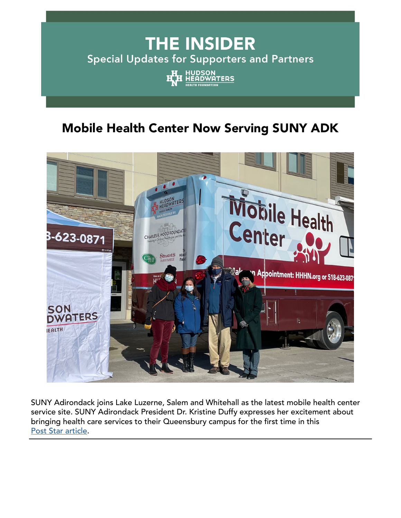# **THE INSIDER** Special Updates for Supporters and Partners HUDSON<br>HEADWATERS

# Mobile Health Center Now Serving SUNY ADK



SUNY Adirondack joins Lake Luzerne, Salem and Whitehall as the latest mobile health center service site. SUNY Adirondack President Dr. Kristine Duffy expresses her excitement about bringing health care services to their Queensbury campus for the first time in this [Post Star article](https://poststar.com/news/local/hudson-headwaters-mobile-health-program-to-provide-services-at-suny-adirondack/article_f6630b21-5a39-54c9-a90d-df3c4909da12.html?bblinkid=258305365&bbemailid=38093873&bbejrid=-2028790373).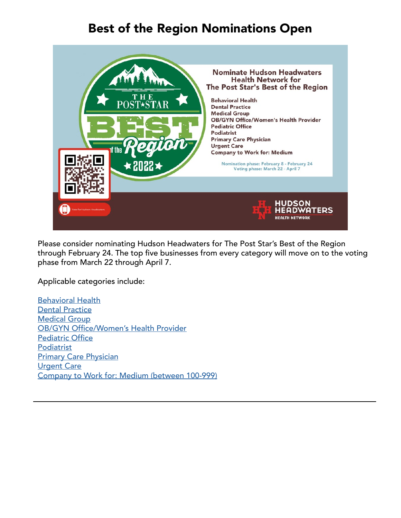## Best of the Region Nominations Open



Please consider nominating Hudson Headwaters for The Post Star's Best of the Region through February 24. The top five businesses from every category will move on to the voting phase from March 22 through April 7.

Applicable categories include:

[Behavioral Health](http://poststar.secondstreetapp.com/Best-of-the-Region-2022/gallery/?group=403531&bblinkid=258149867&bbemailid=38093873&bbejrid=-2028790373) [Dental Practice](http://poststar.secondstreetapp.com/Best-of-the-Region-2022/gallery?group=403531) [Medical Group](http://poststar.secondstreetapp.com/Best-of-the-Region-2022/gallery?group=403531) [OB/GYN Office/Women's Health Provider](http://poststar.secondstreetapp.com/Best-of-the-Region-2022/gallery?group=403531) [Pediatric Office](http://poststar.secondstreetapp.com/Best-of-the-Region-2022/gallery?group=403531) [Podiatrist](http://poststar.secondstreetapp.com/Best-of-the-Region-2022/gallery?group=403531) [Primary Care Physician](http://poststar.secondstreetapp.com/Best-of-the-Region-2022/gallery?group=403531) [Urgent Care](http://poststar.secondstreetapp.com/Best-of-the-Region-2022/gallery?group=403531) [Company to Work for: Medium \(between 100-999\)](http://poststar.secondstreetapp.com/Best-of-the-Region-2022/gallery?group=403526)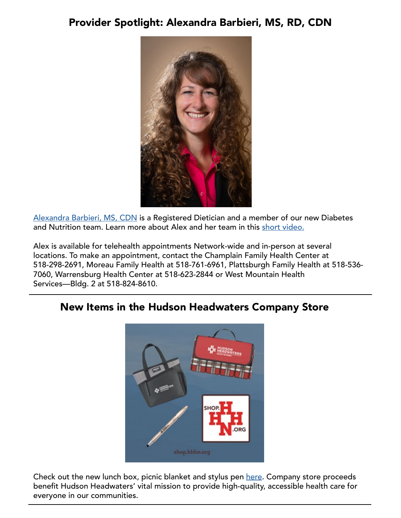### Provider Spotlight: Alexandra Barbieri, MS, RD, CDN



[Alexandra Barbieri, MS, CDN](https://www.hhhn.org/providers/?bblinkid=258115009&bbemailid=38093873&bbejrid=-2028790373#gallery-details-alexandra-barbieri-ms-rd-cdn) is a Registered Dietician and a member of our new Diabetes and Nutrition team. Learn more about Alex and her team in this [short video.](https://www.youtube.com/watch?v=pncSSDUeuz4)

Alex is available for telehealth appointments Network-wide and in-person at several locations. To make an appointment, contact the Champlain Family Health Center at 518-298-2691, Moreau Family Health at 518-761-6961, Plattsburgh Family Health at 518-536- 7060, Warrensburg Health Center at 518-623-2844 or West Mountain Health Services—Bldg. 2 at 518-824-8610.

### New Items in the Hudson Headwaters Company Store



Check out the new lunch box, picnic blanket and stylus pen [here](https://shop.hhhn.org/). Company store proceeds benefit Hudson Headwaters' vital mission to provide high-quality, accessible health care for everyone in our communities.